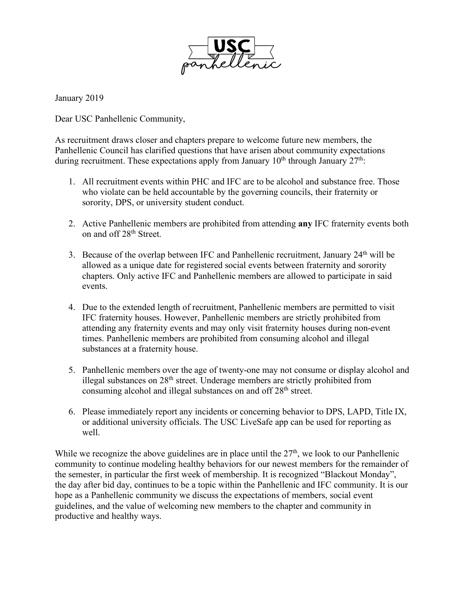

January 2019

Dear USC Panhellenic Community,

As recruitment draws closer and chapters prepare to welcome future new members, the Panhellenic Council has clarified questions that have arisen about community expectations during recruitment. These expectations apply from January  $10<sup>th</sup>$  through January  $27<sup>th</sup>$ .

- 1. All recruitment events within PHC and IFC are to be alcohol and substance free. Those who violate can be held accountable by the governing councils, their fraternity or sorority, DPS, or university student conduct.
- 2. Active Panhellenic members are prohibited from attending **any** IFC fraternity events both on and off 28th Street.
- 3. Because of the overlap between IFC and Panhellenic recruitment, January  $24<sup>th</sup>$  will be allowed as a unique date for registered social events between fraternity and sorority chapters. Only active IFC and Panhellenic members are allowed to participate in said events.
- 4. Due to the extended length of recruitment, Panhellenic members are permitted to visit IFC fraternity houses. However, Panhellenic members are strictly prohibited from attending any fraternity events and may only visit fraternity houses during non-event times. Panhellenic members are prohibited from consuming alcohol and illegal substances at a fraternity house.
- 5. Panhellenic members over the age of twenty-one may not consume or display alcohol and illegal substances on 28<sup>th</sup> street. Underage members are strictly prohibited from consuming alcohol and illegal substances on and off 28<sup>th</sup> street.
- 6. Please immediately report any incidents or concerning behavior to DPS, LAPD, Title IX, or additional university officials. The USC LiveSafe app can be used for reporting as well.

While we recognize the above guidelines are in place until the  $27<sup>th</sup>$ , we look to our Panhellenic community to continue modeling healthy behaviors for our newest members for the remainder of the semester, in particular the first week of membership. It is recognized "Blackout Monday", the day after bid day, continues to be a topic within the Panhellenic and IFC community. It is our hope as a Panhellenic community we discuss the expectations of members, social event guidelines, and the value of welcoming new members to the chapter and community in productive and healthy ways.